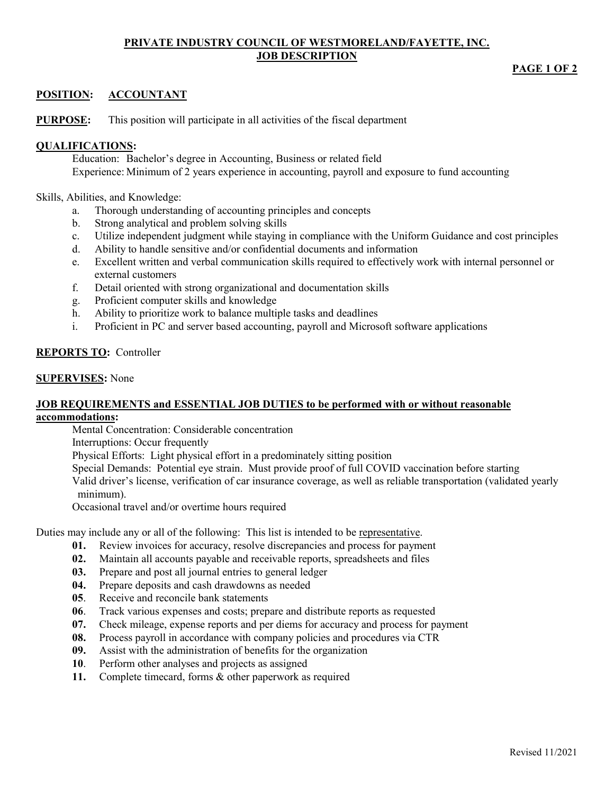### **PRIVATE INDUSTRY COUNCIL OF WESTMORELAND/FAYETTE, INC. JOB DESCRIPTION**

## **PAGE 1 OF 2**

# **POSITION: ACCOUNTANT**

**PURPOSE:** This position will participate in all activities of the fiscal department

## **QUALIFICATIONS:**

Education: Bachelor's degree in Accounting, Business or related field Experience: Minimum of 2 years experience in accounting, payroll and exposure to fund accounting

Skills, Abilities, and Knowledge:

- a. Thorough understanding of accounting principles and concepts
- b. Strong analytical and problem solving skills
- c. Utilize independent judgment while staying in compliance with the Uniform Guidance and cost principles
- d. Ability to handle sensitive and/or confidential documents and information
- e. Excellent written and verbal communication skills required to effectively work with internal personnel or external customers
- f. Detail oriented with strong organizational and documentation skills
- g. Proficient computer skills and knowledge
- h. Ability to prioritize work to balance multiple tasks and deadlines
- i. Proficient in PC and server based accounting, payroll and Microsoft software applications

# **REPORTS TO:** Controller

## **SUPERVISES:** None

### **JOB REQUIREMENTS and ESSENTIAL JOB DUTIES to be performed with or without reasonable accommodations:**

Mental Concentration: Considerable concentration

Interruptions: Occur frequently

Physical Efforts: Light physical effort in a predominately sitting position

Special Demands: Potential eye strain. Must provide proof of full COVID vaccination before starting Valid driver's license, verification of car insurance coverage, as well as reliable transportation (validated yearly minimum).

Occasional travel and/or overtime hours required

Duties may include any or all of the following: This list is intended to be representative.

- **01.** Review invoices for accuracy, resolve discrepancies and process for payment
- **02.** Maintain all accounts payable and receivable reports, spreadsheets and files
- **03.** Prepare and post all journal entries to general ledger
- **04.** Prepare deposits and cash drawdowns as needed
- **05**. Receive and reconcile bank statements
- **06**. Track various expenses and costs; prepare and distribute reports as requested
- **07.** Check mileage, expense reports and per diems for accuracy and process for payment
- **08.** Process payroll in accordance with company policies and procedures via CTR
- **09.** Assist with the administration of benefits for the organization
- **10**. Perform other analyses and projects as assigned
- **11.** Complete timecard, forms & other paperwork as required